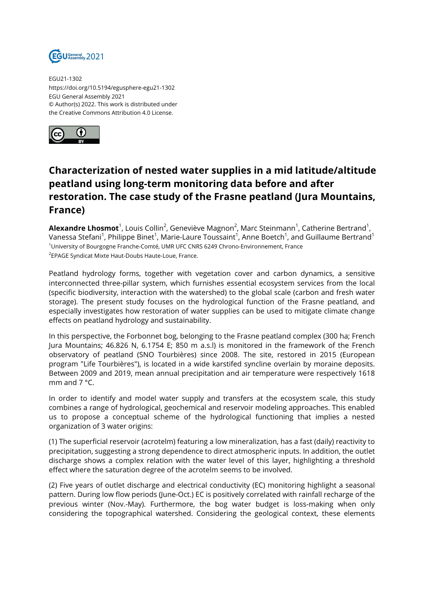

EGU21-1302 https://doi.org/10.5194/egusphere-egu21-1302 EGU General Assembly 2021 © Author(s) 2022. This work is distributed under the Creative Commons Attribution 4.0 License.



## **Characterization of nested water supplies in a mid latitude/altitude peatland using long-term monitoring data before and after restoration. The case study of the Frasne peatland (Jura Mountains, France)**

**Alexandre Lhosmot**<sup>1</sup>, Louis Collin<sup>2</sup>, Geneviève Magnon<sup>2</sup>, Marc Steinmann<sup>1</sup>, Catherine Bertrand<sup>1</sup>, Vanessa Stefani<sup>1</sup>, Philippe Binet<sup>1</sup>, Marie-Laure Toussaint<sup>1</sup>, Anne Boetch<sup>1</sup>, and Guillaume Bertrand<sup>1</sup> <sup>1</sup>University of Bourgogne Franche-Comté, UMR UFC CNRS 6249 Chrono-Environnement, France <sup>2</sup>EPAGE Syndicat Mixte Haut-Doubs Haute-Loue, France.

Peatland hydrology forms, together with vegetation cover and carbon dynamics, a sensitive interconnected three-pillar system, which furnishes essential ecosystem services from the local (specific biodiversity, interaction with the watershed) to the global scale (carbon and fresh water storage). The present study focuses on the hydrological function of the Frasne peatland, and especially investigates how restoration of water supplies can be used to mitigate climate change effects on peatland hydrology and sustainability.

In this perspective, the Forbonnet bog, belonging to the Frasne peatland complex (300 ha; French Jura Mountains; 46.826 N, 6.1754 E; 850 m a.s.l) is monitored in the framework of the French observatory of peatland (SNO Tourbières) since 2008. The site, restored in 2015 (European program "Life Tourbières"), is located in a wide karstifed syncline overlain by moraine deposits. Between 2009 and 2019, mean annual precipitation and air temperature were respectively 1618 mm and 7 °C.

In order to identify and model water supply and transfers at the ecosystem scale, this study combines a range of hydrological, geochemical and reservoir modeling approaches. This enabled us to propose a conceptual scheme of the hydrological functioning that implies a nested organization of 3 water origins:

(1) The superficial reservoir (acrotelm) featuring a low mineralization, has a fast (daily) reactivity to precipitation, suggesting a strong dependence to direct atmospheric inputs. In addition, the outlet discharge shows a complex relation with the water level of this layer, highlighting a threshold effect where the saturation degree of the acrotelm seems to be involved.

(2) Five years of outlet discharge and electrical conductivity (EC) monitoring highlight a seasonal pattern. During low flow periods (June-Oct.) EC is positively correlated with rainfall recharge of the previous winter (Nov.-May). Furthermore, the bog water budget is loss-making when only considering the topographical watershed. Considering the geological context, these elements